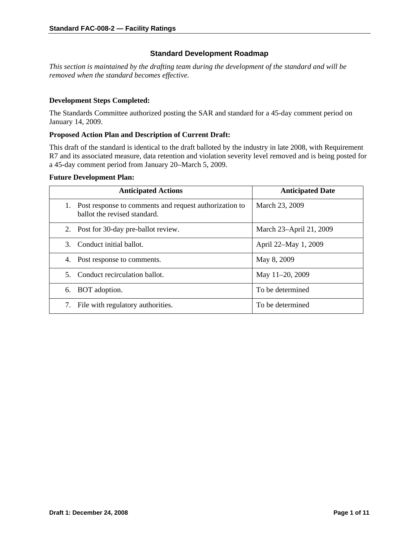# **Standard Development Roadmap**

*This section is maintained by the drafting team during the development of the standard and will be removed when the standard becomes effective.* 

#### **Development Steps Completed:**

The Standards Committee authorized posting the SAR and standard for a 45-day comment period on January 14, 2009.

#### **Proposed Action Plan and Description of Current Draft:**

This draft of the standard is identical to the draft balloted by the industry in late 2008, with Requirement R7 and its associated measure, data retention and violation severity level removed and is being posted for a 45-day comment period from January 20–March 5, 2009.

#### **Future Development Plan:**

| <b>Anticipated Actions</b>                                                             | <b>Anticipated Date</b> |
|----------------------------------------------------------------------------------------|-------------------------|
| Post response to comments and request authorization to<br>ballot the revised standard. | March 23, 2009          |
| Post for 30-day pre-ballot review.<br>2.                                               | March 23-April 21, 2009 |
| Conduct initial ballot.<br>3.                                                          | April 22–May 1, 2009    |
| Post response to comments.<br>4.                                                       | May 8, 2009             |
| Conduct recirculation ballot.<br>$5 -$                                                 | May 11-20, 2009         |
| BOT adoption.<br>6.                                                                    | To be determined        |
| File with regulatory authorities.                                                      | To be determined        |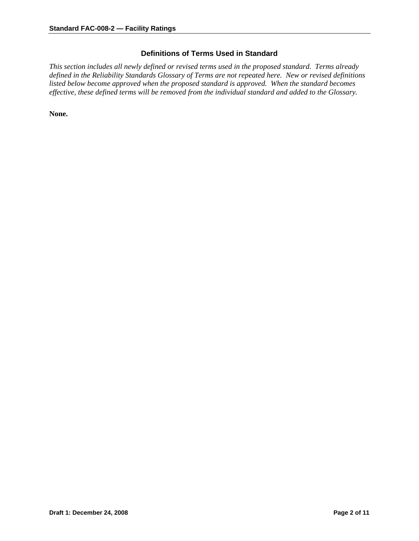# **Definitions of Terms Used in Standard**

*This section includes all newly defined or revised terms used in the proposed standard. Terms already defined in the Reliability Standards Glossary of Terms are not repeated here. New or revised definitions listed below become approved when the proposed standard is approved. When the standard becomes effective, these defined terms will be removed from the individual standard and added to the Glossary.* 

**None.**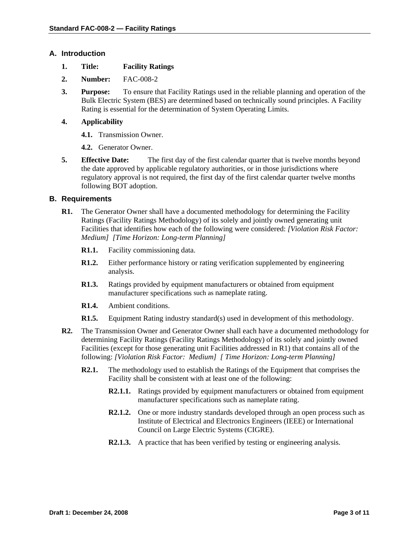### **A. Introduction**

- **1. Title: Facility Ratings**
- **2. Number:** FAC-008-2
- **3. Purpose:** To ensure that Facility Ratings used in the reliable planning and operation of the Bulk Electric System (BES) are determined based on technically sound principles. A Facility Rating is essential for the determination of System Operating Limits.

### **4. Applicability**

- **4.1.** Transmission Owner.
- **4.2.** Generator Owner.
- **5. Effective Date:** The first day of the first calendar quarter that is twelve months beyond the date approved by applicable regulatory authorities, or in those jurisdictions where regulatory approval is not required, the first day of the first calendar quarter twelve months following BOT adoption.

#### **B. Requirements**

- **R1.** The Generator Owner shall have a documented methodology for determining the Facility Ratings (Facility Ratings Methodology) of its solely and jointly owned generating unit Facilities that identifies how each of the following were considered: *[Violation Risk Factor: Medium] [Time Horizon: Long-term Planning]* 
	- **R1.1.** Facility commissioning data.
	- **R1.2.** Either performance history or rating verification supplemented by engineering analysis.
	- **R1.3.** Ratings provided by equipment manufacturers or obtained from equipment manufacturer specifications such as nameplate rating.
	- **R1.4.** Ambient conditions.
	- **R1.5.** Equipment Rating industry standard(s) used in development of this methodology.
- **R2.** The Transmission Owner and Generator Owner shall each have a documented methodology for determining Facility Ratings (Facility Ratings Methodology) of its solely and jointly owned Facilities (except for those generating unit Facilities addressed in R1) that contains all of the following: *[Violation Risk Factor: Medium] [ Time Horizon: Long-term Planning]* 
	- **R2.1.** The methodology used to establish the Ratings of the Equipment that comprises the Facility shall be consistent with at least one of the following:
		- **R2.1.1.** Ratings provided by equipment manufacturers or obtained from equipment manufacturer specifications such as nameplate rating.
		- **R2.1.2.** One or more industry standards developed through an open process such as Institute of Electrical and Electronics Engineers (IEEE) or International Council on Large Electric Systems (CIGRE).
		- **R2.1.3.** A practice that has been verified by testing or engineering analysis.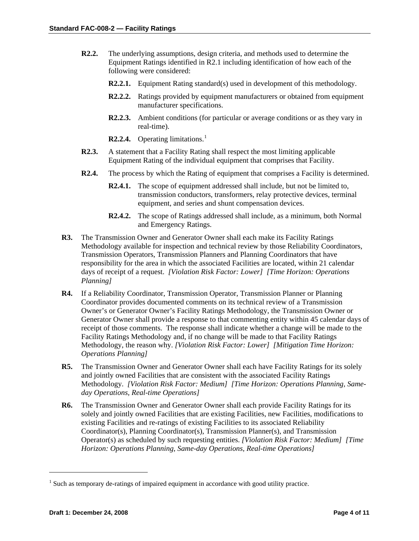- **R2.2.** The underlying assumptions, design criteria, and methods used to determine the Equipment Ratings identified in R2.1 including identification of how each of the following were considered:
	- **R2.2.1.** Equipment Rating standard(s) used in development of this methodology.
	- **R2.2.2.** Ratings provided by equipment manufacturers or obtained from equipment manufacturer specifications.
	- **R2.2.3.** Ambient conditions (for particular or average conditions or as they vary in real-time).
	- **R2.2.4.** Operating limitations.<sup>[1](#page-3-0)</sup>
- **R2.3.** A statement that a Facility Rating shall respect the most limiting applicable Equipment Rating of the individual equipment that comprises that Facility.
- **R2.4.** The process by which the Rating of equipment that comprises a Facility is determined.
	- **R2.4.1.** The scope of equipment addressed shall include, but not be limited to, transmission conductors, transformers, relay protective devices, terminal equipment, and series and shunt compensation devices.
	- **R2.4.2.** The scope of Ratings addressed shall include, as a minimum, both Normal and Emergency Ratings.
- **R3.** The Transmission Owner and Generator Owner shall each make its Facility Ratings Methodology available for inspection and technical review by those Reliability Coordinators, Transmission Operators, Transmission Planners and Planning Coordinators that have responsibility for the area in which the associated Facilities are located, within 21 calendar days of receipt of a request. *[Violation Risk Factor: Lower] [Time Horizon: Operations Planning]*
- **R4.** If a Reliability Coordinator, Transmission Operator, Transmission Planner or Planning Coordinator provides documented comments on its technical review of a Transmission Owner's or Generator Owner's Facility Ratings Methodology, the Transmission Owner or Generator Owner shall provide a response to that commenting entity within 45 calendar days of receipt of those comments. The response shall indicate whether a change will be made to the Facility Ratings Methodology and, if no change will be made to that Facility Ratings Methodology, the reason why. *[Violation Risk Factor: Lower] [Mitigation Time Horizon: Operations Planning]*
- **R5.** The Transmission Owner and Generator Owner shall each have Facility Ratings for its solely and jointly owned Facilities that are consistent with the associated Facility Ratings Methodology. *[Violation Risk Factor: Medium] [Time Horizon: Operations Planning, Sameday Operations, Real-time Operations]*
- **R6.** The Transmission Owner and Generator Owner shall each provide Facility Ratings for its solely and jointly owned Facilities that are existing Facilities, new Facilities, modifications to existing Facilities and re-ratings of existing Facilities to its associated Reliability Coordinator(s), Planning Coordinator(s), Transmission Planner(s), and Transmission Operator(s) as scheduled by such requesting entities. *[Violation Risk Factor: Medium] [Time Horizon: Operations Planning, Same-day Operations, Real-time Operations]*

1

<span id="page-3-0"></span> $<sup>1</sup>$  Such as temporary de-ratings of impaired equipment in accordance with good utility practice.</sup>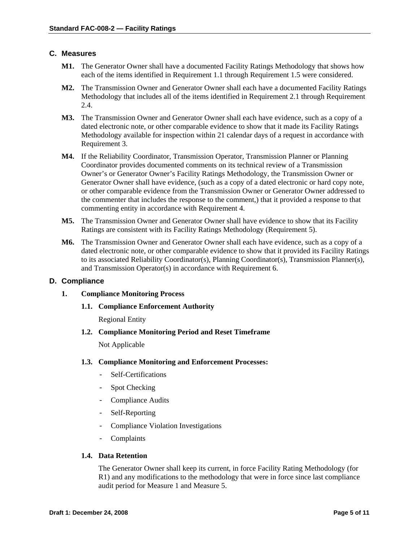# **C. Measures**

- **M1.** The Generator Owner shall have a documented Facility Ratings Methodology that shows how each of the items identified in Requirement 1.1 through Requirement 1.5 were considered.
- **M2.** The Transmission Owner and Generator Owner shall each have a documented Facility Ratings Methodology that includes all of the items identified in Requirement 2.1 through Requirement 2.4.
- **M3.** The Transmission Owner and Generator Owner shall each have evidence, such as a copy of a dated electronic note, or other comparable evidence to show that it made its Facility Ratings Methodology available for inspection within 21 calendar days of a request in accordance with Requirement 3.
- **M4.** If the Reliability Coordinator, Transmission Operator, Transmission Planner or Planning Coordinator provides documented comments on its technical review of a Transmission Owner's or Generator Owner's Facility Ratings Methodology, the Transmission Owner or Generator Owner shall have evidence, (such as a copy of a dated electronic or hard copy note, or other comparable evidence from the Transmission Owner or Generator Owner addressed to the commenter that includes the response to the comment,) that it provided a response to that commenting entity in accordance with Requirement 4.
- **M5.** The Transmission Owner and Generator Owner shall have evidence to show that its Facility Ratings are consistent with its Facility Ratings Methodology (Requirement 5).
- **M6.** The Transmission Owner and Generator Owner shall each have evidence, such as a copy of a dated electronic note, or other comparable evidence to show that it provided its Facility Ratings to its associated Reliability Coordinator(s), Planning Coordinator(s), Transmission Planner(s), and Transmission Operator(s) in accordance with Requirement 6.

#### **D. Compliance**

- **1. Compliance Monitoring Process** 
	- **1.1. Compliance Enforcement Authority**

Regional Entity

**1.2. Compliance Monitoring Period and Reset Timeframe**

Not Applicable

#### **1.3. Compliance Monitoring and Enforcement Processes:**

- Self-Certifications
- Spot Checking
- Compliance Audits
- Self-Reporting
- Compliance Violation Investigations
- Complaints

#### **1.4. Data Retention**

The Generator Owner shall keep its current, in force Facility Rating Methodology (for R1) and any modifications to the methodology that were in force since last compliance audit period for Measure 1 and Measure 5.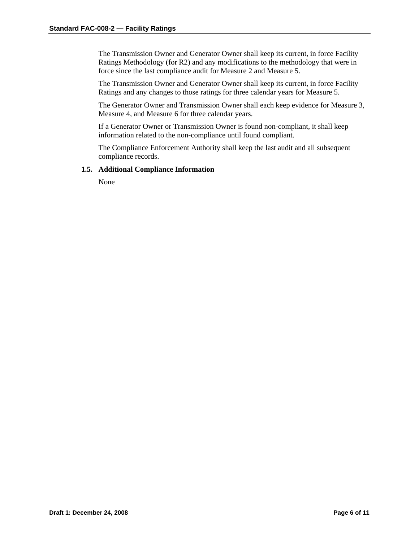The Transmission Owner and Generator Owner shall keep its current, in force Facility Ratings Methodology (for R2) and any modifications to the methodology that were in force since the last compliance audit for Measure 2 and Measure 5.

The Transmission Owner and Generator Owner shall keep its current, in force Facility Ratings and any changes to those ratings for three calendar years for Measure 5.

The Generator Owner and Transmission Owner shall each keep evidence for Measure 3, Measure 4, and Measure 6 for three calendar years.

If a Generator Owner or Transmission Owner is found non-compliant, it shall keep information related to the non-compliance until found compliant.

The Compliance Enforcement Authority shall keep the last audit and all subsequent compliance records.

#### **1.5. Additional Compliance Information**

None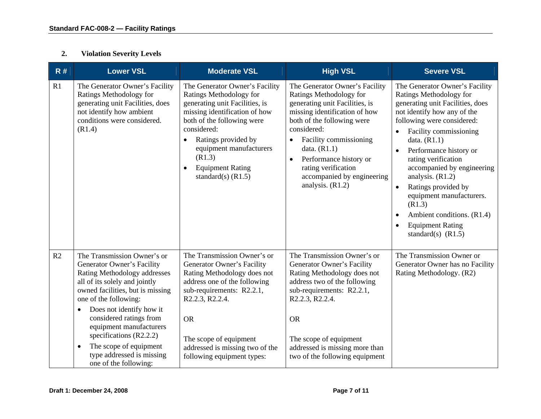#### **2.Violation Severity Levels**

| R# | <b>Lower VSL</b>                                                                                                                                                                                                                                                                                                                                                                                                 | <b>Moderate VSL</b>                                                                                                                                                                                                                                                                                   | <b>High VSL</b>                                                                                                                                                                                                                                                                                                                                      | <b>Severe VSL</b>                                                                                                                                                                                                                                                                                                                                                                                                                                                                   |
|----|------------------------------------------------------------------------------------------------------------------------------------------------------------------------------------------------------------------------------------------------------------------------------------------------------------------------------------------------------------------------------------------------------------------|-------------------------------------------------------------------------------------------------------------------------------------------------------------------------------------------------------------------------------------------------------------------------------------------------------|------------------------------------------------------------------------------------------------------------------------------------------------------------------------------------------------------------------------------------------------------------------------------------------------------------------------------------------------------|-------------------------------------------------------------------------------------------------------------------------------------------------------------------------------------------------------------------------------------------------------------------------------------------------------------------------------------------------------------------------------------------------------------------------------------------------------------------------------------|
| R1 | The Generator Owner's Facility<br>Ratings Methodology for<br>generating unit Facilities, does<br>not identify how ambient<br>conditions were considered.<br>(R1.4)                                                                                                                                                                                                                                               | The Generator Owner's Facility<br>Ratings Methodology for<br>generating unit Facilities, is<br>missing identification of how<br>both of the following were<br>considered:<br>Ratings provided by<br>equipment manufacturers<br>(R1.3)<br><b>Equipment Rating</b><br>$\bullet$<br>standard(s) $(R1.5)$ | The Generator Owner's Facility<br>Ratings Methodology for<br>generating unit Facilities, is<br>missing identification of how<br>both of the following were<br>considered:<br>Facility commissioning<br>$\bullet$<br>data. $(R1.1)$<br>Performance history or<br>$\bullet$<br>rating verification<br>accompanied by engineering<br>analysis. $(R1.2)$ | The Generator Owner's Facility<br>Ratings Methodology for<br>generating unit Facilities, does<br>not identify how any of the<br>following were considered:<br>Facility commissioning<br>data. $(R1.1)$<br>Performance history or<br>$\bullet$<br>rating verification<br>accompanied by engineering<br>analysis. $(R1.2)$<br>Ratings provided by<br>$\bullet$<br>equipment manufacturers.<br>(R1.3)<br>Ambient conditions. (R1.4)<br><b>Equipment Rating</b><br>standard(s) $(R1.5)$ |
| R2 | The Transmission Owner's or<br>Generator Owner's Facility<br>Rating Methodology addresses<br>all of its solely and jointly<br>owned facilities, but is missing<br>one of the following:<br>Does not identify how it<br>$\bullet$<br>considered ratings from<br>equipment manufacturers<br>specifications $(R2.2.2)$<br>The scope of equipment<br>$\bullet$<br>type addressed is missing<br>one of the following: | The Transmission Owner's or<br>Generator Owner's Facility<br>Rating Methodology does not<br>address one of the following<br>sub-requirements: R2.2.1,<br>R2.2.3, R2.2.4.<br><b>OR</b><br>The scope of equipment<br>addressed is missing two of the<br>following equipment types:                      | The Transmission Owner's or<br>Generator Owner's Facility<br>Rating Methodology does not<br>address two of the following<br>sub-requirements: R2.2.1,<br>R2.2.3, R2.2.4.<br><b>OR</b><br>The scope of equipment<br>addressed is missing more than<br>two of the following equipment                                                                  | The Transmission Owner or<br>Generator Owner has no Facility<br>Rating Methodology. (R2)                                                                                                                                                                                                                                                                                                                                                                                            |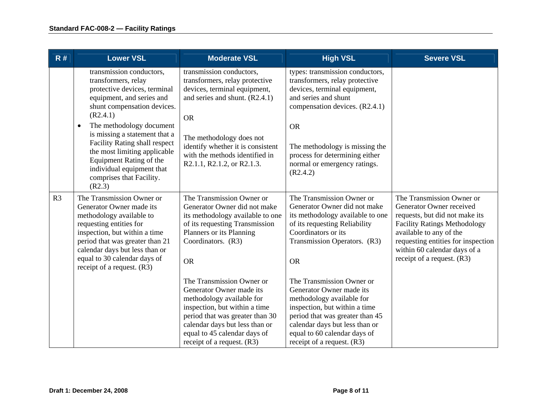| R#             | <b>Lower VSL</b>                                                                                                                                                                                                                                                                                                                                                                                 | <b>Moderate VSL</b>                                                                                                                                                                                                                                                          | <b>High VSL</b>                                                                                                                                                                                                                                                                          | <b>Severe VSL</b>                                                                                                                                                                                                                                               |
|----------------|--------------------------------------------------------------------------------------------------------------------------------------------------------------------------------------------------------------------------------------------------------------------------------------------------------------------------------------------------------------------------------------------------|------------------------------------------------------------------------------------------------------------------------------------------------------------------------------------------------------------------------------------------------------------------------------|------------------------------------------------------------------------------------------------------------------------------------------------------------------------------------------------------------------------------------------------------------------------------------------|-----------------------------------------------------------------------------------------------------------------------------------------------------------------------------------------------------------------------------------------------------------------|
|                | transmission conductors,<br>transformers, relay<br>protective devices, terminal<br>equipment, and series and<br>shunt compensation devices.<br>(R2.4.1)<br>The methodology document<br>$\bullet$<br>is missing a statement that a<br>Facility Rating shall respect<br>the most limiting applicable<br>Equipment Rating of the<br>individual equipment that<br>comprises that Facility.<br>(R2.3) | transmission conductors,<br>transformers, relay protective<br>devices, terminal equipment,<br>and series and shunt. $(R2.4.1)$<br><b>OR</b><br>The methodology does not<br>identify whether it is consistent<br>with the methods identified in<br>R2.1.1, R2.1.2, or R2.1.3. | types: transmission conductors,<br>transformers, relay protective<br>devices, terminal equipment,<br>and series and shunt<br>compensation devices. (R2.4.1)<br><b>OR</b><br>The methodology is missing the<br>process for determining either<br>normal or emergency ratings.<br>(R2.4.2) |                                                                                                                                                                                                                                                                 |
| R <sub>3</sub> | The Transmission Owner or<br>Generator Owner made its<br>methodology available to<br>requesting entities for<br>inspection, but within a time<br>period that was greater than 21<br>calendar days but less than or<br>equal to 30 calendar days of<br>receipt of a request. $(R3)$                                                                                                               | The Transmission Owner or<br>Generator Owner did not make<br>its methodology available to one<br>of its requesting Transmission<br>Planners or its Planning<br>Coordinators. (R3)<br><b>OR</b>                                                                               | The Transmission Owner or<br>Generator Owner did not make<br>its methodology available to one<br>of its requesting Reliability<br>Coordinators or its<br>Transmission Operators. (R3)<br><b>OR</b>                                                                                       | The Transmission Owner or<br>Generator Owner received<br>requests, but did not make its<br><b>Facility Ratings Methodology</b><br>available to any of the<br>requesting entities for inspection<br>within 60 calendar days of a<br>receipt of a request. $(R3)$ |
|                |                                                                                                                                                                                                                                                                                                                                                                                                  | The Transmission Owner or<br>Generator Owner made its<br>methodology available for<br>inspection, but within a time<br>period that was greater than 30<br>calendar days but less than or<br>equal to 45 calendar days of<br>receipt of a request. (R3)                       | The Transmission Owner or<br>Generator Owner made its<br>methodology available for<br>inspection, but within a time<br>period that was greater than 45<br>calendar days but less than or<br>equal to 60 calendar days of<br>receipt of a request. $(R3)$                                 |                                                                                                                                                                                                                                                                 |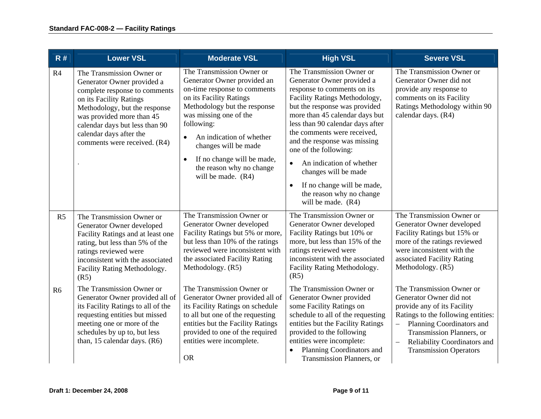| R#             | <b>Lower VSL</b>                                                                                                                                                                                                                                                               | <b>Moderate VSL</b>                                                                                                                                                                                                                                                                                                                                       | <b>High VSL</b>                                                                                                                                                                                                                                                                                                                                                                                                                                                                        | <b>Severe VSL</b>                                                                                                                                                                                                                                                |
|----------------|--------------------------------------------------------------------------------------------------------------------------------------------------------------------------------------------------------------------------------------------------------------------------------|-----------------------------------------------------------------------------------------------------------------------------------------------------------------------------------------------------------------------------------------------------------------------------------------------------------------------------------------------------------|----------------------------------------------------------------------------------------------------------------------------------------------------------------------------------------------------------------------------------------------------------------------------------------------------------------------------------------------------------------------------------------------------------------------------------------------------------------------------------------|------------------------------------------------------------------------------------------------------------------------------------------------------------------------------------------------------------------------------------------------------------------|
| R4             | The Transmission Owner or<br>Generator Owner provided a<br>complete response to comments<br>on its Facility Ratings<br>Methodology, but the response<br>was provided more than 45<br>calendar days but less than 90<br>calendar days after the<br>comments were received. (R4) | The Transmission Owner or<br>Generator Owner provided an<br>on-time response to comments<br>on its Facility Ratings<br>Methodology but the response<br>was missing one of the<br>following:<br>An indication of whether<br>$\bullet$<br>changes will be made<br>If no change will be made,<br>$\bullet$<br>the reason why no change<br>will be made. (R4) | The Transmission Owner or<br>Generator Owner provided a<br>response to comments on its<br>Facility Ratings Methodology,<br>but the response was provided<br>more than 45 calendar days but<br>less than 90 calendar days after<br>the comments were received,<br>and the response was missing<br>one of the following:<br>An indication of whether<br>$\bullet$<br>changes will be made<br>If no change will be made,<br>$\bullet$<br>the reason why no change<br>will be made. $(R4)$ | The Transmission Owner or<br>Generator Owner did not<br>provide any response to<br>comments on its Facility<br>Ratings Methodology within 90<br>calendar days. (R4)                                                                                              |
| R <sub>5</sub> | The Transmission Owner or<br>Generator Owner developed<br>Facility Ratings and at least one<br>rating, but less than 5% of the<br>ratings reviewed were<br>inconsistent with the associated<br>Facility Rating Methodology.<br>(R5)                                            | The Transmission Owner or<br>Generator Owner developed<br>Facility Ratings but 5% or more,<br>but less than 10% of the ratings<br>reviewed were inconsistent with<br>the associated Facility Rating<br>Methodology. (R5)                                                                                                                                  | The Transmission Owner or<br>Generator Owner developed<br>Facility Ratings but 10% or<br>more, but less than 15% of the<br>ratings reviewed were<br>inconsistent with the associated<br>Facility Rating Methodology.<br>(R5)                                                                                                                                                                                                                                                           | The Transmission Owner or<br>Generator Owner developed<br>Facility Ratings but 15% or<br>more of the ratings reviewed<br>were inconsistent with the<br>associated Facility Rating<br>Methodology. (R5)                                                           |
| R <sub>6</sub> | The Transmission Owner or<br>Generator Owner provided all of<br>its Facility Ratings to all of the<br>requesting entities but missed<br>meeting one or more of the<br>schedules by up to, but less<br>than, 15 calendar days. (R6)                                             | The Transmission Owner or<br>Generator Owner provided all of<br>its Facility Ratings on schedule<br>to all but one of the requesting<br>entities but the Facility Ratings<br>provided to one of the required<br>entities were incomplete.<br><b>OR</b>                                                                                                    | The Transmission Owner or<br>Generator Owner provided<br>some Facility Ratings on<br>schedule to all of the requesting<br>entities but the Facility Ratings<br>provided to the following<br>entities were incomplete:<br>Planning Coordinators and<br>Transmission Planners, or                                                                                                                                                                                                        | The Transmission Owner or<br>Generator Owner did not<br>provide any of its Facility<br>Ratings to the following entities:<br>Planning Coordinators and<br>Transmission Planners, or<br>Reliability Coordinators and<br>$\equiv$<br><b>Transmission Operators</b> |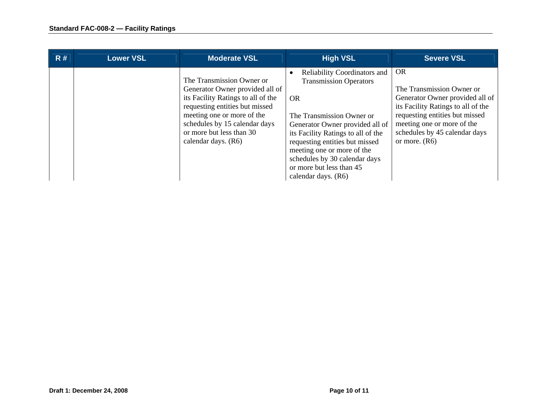| R# | <b>Lower VSL</b> | <b>Moderate VSL</b>                                                                                                                                                                                                                                    | <b>High VSL</b>                                                                                                                                                                                                                                                                                                                | <b>Severe VSL</b>                                                                                                                                                                                                                   |
|----|------------------|--------------------------------------------------------------------------------------------------------------------------------------------------------------------------------------------------------------------------------------------------------|--------------------------------------------------------------------------------------------------------------------------------------------------------------------------------------------------------------------------------------------------------------------------------------------------------------------------------|-------------------------------------------------------------------------------------------------------------------------------------------------------------------------------------------------------------------------------------|
|    |                  | The Transmission Owner or<br>Generator Owner provided all of<br>its Facility Ratings to all of the<br>requesting entities but missed<br>meeting one or more of the<br>schedules by 15 calendar days<br>or more but less than 30<br>calendar days. (R6) | Reliability Coordinators and<br><b>Transmission Operators</b><br>OR.<br>The Transmission Owner or<br>Generator Owner provided all of<br>its Facility Ratings to all of the<br>requesting entities but missed<br>meeting one or more of the<br>schedules by 30 calendar days<br>or more but less than 45<br>calendar days. (R6) | <b>OR</b><br>The Transmission Owner or<br>Generator Owner provided all of<br>its Facility Ratings to all of the<br>requesting entities but missed<br>meeting one or more of the<br>schedules by 45 calendar days<br>or more. $(R6)$ |